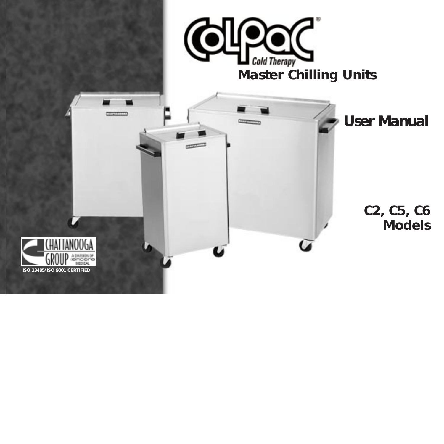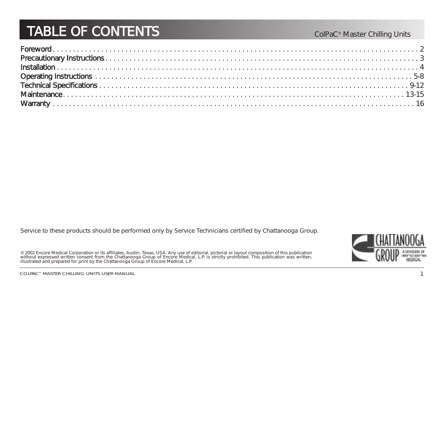## TABLE OF CONTENT

#### ColPaC<sup>®</sup> Master Chilling Units

Service to these products should be performed only by Service Technicians certified by Chattanooga Group.

© 2002 Encore Medical Corporation or its affiliates, Austin, Texas, USA. Any use of editorial, pictorial or layout composition of this publication<br>without expressed written consent from the Chattanooga Group of Encore Medi

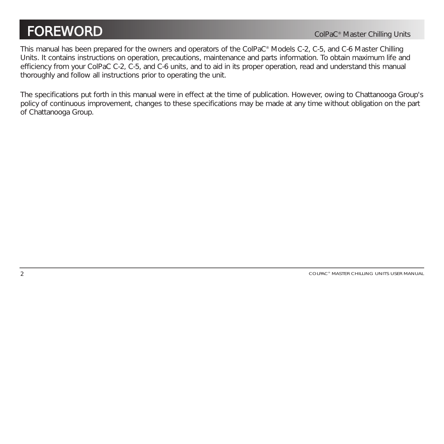### FOREWOR

This manual has been prepared for the owners and operators of the ColPaC® Models C-2, C-5, and C-6 Master Chilling Units. It contains instructions on operation, precautions, maintenance and parts information. To obtain maximum life and efficiency from your ColPaC C-2, C-5, and C-6 units, and to aid in its proper operation, read and understand this manual thoroughly and follow all instructions prior to operating the unit.

The specifications put forth in this manual were in effect at the time of publication. However, owing to Chattanooga Group's policy of continuous improvement, changes to these specifications may be made at any time without obligation on the part of Chattanooga Group.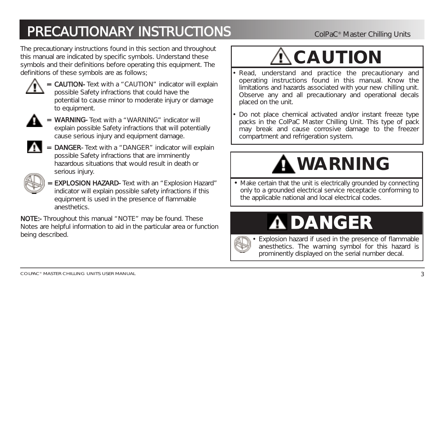The precautionary instructions found in this section and throughout this manual are indicated by specific symbols. Understand these symbols and their definitions before operating this equipment. The definitions of these symbols are as follows;



= CAUTION- Text with a "CAUTION" indicator will explain possible Safety infractions that could have the potential to cause minor to moderate injury or damage to equipment.



- = WARNING- Text with a "WARNING" indicator will explain possible Safety infractions that will potentially cause serious injury and equipment damage.
- - DANGER- Text with a "DANGER" indicator will explain possible Safety infractions that are imminently hazardous situations that would result in death or serious injury.



= EXPLOSION HAZARD- Text with an "Explosion Hazard" indicator will explain possible safety infractions if this equipment is used in the presence of flammable anesthetics.

NOTE:- Throughout this manual "NOTE" may be found. These Notes are helpful information to aid in the particular area or function being described.

# $\mathbf{\hat{C}}$ CAUTION

- Read, understand and practice the precautionary and operating instructions found in this manual. Know the limitations and hazards associated with your new chilling unit. Observe any and all precautionary and operational decals placed on the unit.
- Do not place chemical activated and/or instant freeze type packs in the ColPaC Master Chilling Unit. This type of pack may break and cause corrosive damage to the freezer compartment and refrigeration system.

# **WARNING**

• Make certain that the unit is electrically grounded by connecting only to a grounded electrical service receptacle conforming to the applicable national and local electrical codes.

# **A DANGER**



•

 Explosion hazard if used in the presence of flammable anesthetics. The warning symbol for this hazard is prominently displayed on the serial number decal.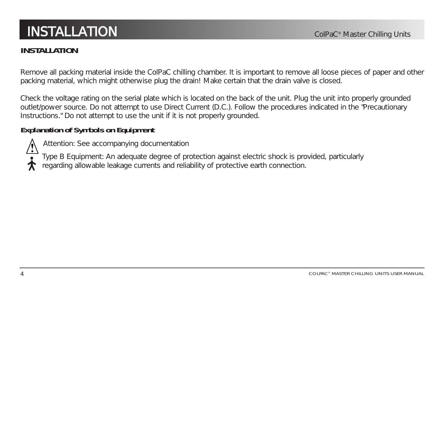### INSTALLATIC

#### **INSTALLATION**

Remove all packing material inside the ColPaC chilling chamber. It is important to remove all loose pieces of paper and other packing material, which might otherwise plug the drain! Make certain that the drain valve is closed.

Check the voltage rating on the serial plate which is located on the back of the unit. Plug the unit into properly grounded outlet/power source. Do not attempt to use Direct Current (D.C.). Follow the procedures indicated in the "Precautionary Instructions." Do not attempt to use the unit if it is not properly grounded.

#### **Explanation of Symbols on Equipment**



Attention: See accompanying documentation

Type B Equipment: An adequate degree of protection against electric shock is provided, particularly

regarding allowable leakage currents and reliability of protective earth connection.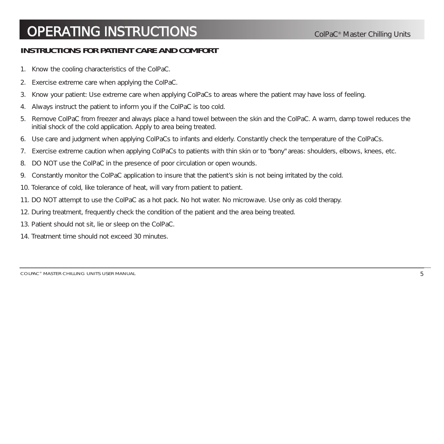#### **INSTRUCTIONS FOR PATIENT CARE AND COMFORT**

- 1. Know the cooling characteristics of the ColPaC.
- 2. Exercise extreme care when applying the ColPaC.
- 3. Know your patient: Use extreme care when applying ColPaCs to areas where the patient may have loss of feeling.
- 4. Always instruct the patient to inform you if the ColPaC is too cold.
- 5. Remove ColPaC from freezer and always place a hand towel between the skin and the ColPaC. A warm, damp towel reduces the initial shock of the cold application. Apply to area being treated.
- 6. Use care and judgment when applying ColPaCs to infants and elderly. Constantly check the temperature of the ColPaCs.
- 7. Exercise extreme caution when applying ColPaCs to patients with thin skin or to "bony" areas: shoulders, elbows, knees, etc.
- 8. DO NOT use the ColPaC in the presence of poor circulation or open wounds.
- 9. Constantly monitor the ColPaC application to insure that the patient's skin is not being irritated by the cold.
- 10. Tolerance of cold, like tolerance of heat, will vary from patient to patient.
- 11. DO NOT attempt to use the ColPaC as a hot pack. No hot water. No microwave. Use only as cold therapy.
- 12. During treatment, frequently check the condition of the patient and the area being treated.
- 13. Patient should not sit, lie or sleep on the ColPaC.
- 14. Treatment time should not exceed 30 minutes.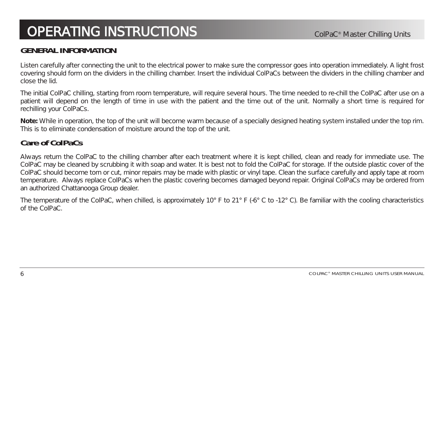#### **GENERAL INFORMATION**

Listen carefully after connecting the unit to the electrical power to make sure the compressor goes into operation immediately. A light frost covering should form on the dividers in the chilling chamber. Insert the individual ColPaCs between the dividers in the chilling chamber and close the lid.

The initial ColPaC chilling, starting from room temperature, will require several hours. The time needed to re-chill the ColPaC after use on a patient will depend on the length of time in use with the patient and the time out of the unit. Normally a short time is required for rechilling your ColPaCs.

**Note:** While in operation, the top of the unit will become warm because of a specially designed heating system installed under the top rim. This is to eliminate condensation of moisture around the top of the unit.

#### **Care of ColPaCs**

Always return the ColPaC to the chilling chamber after each treatment where it is kept chilled, clean and ready for immediate use. The ColPaC may be cleaned by scrubbing it with soap and water. It is best not to fold the ColPaC for storage. If the outside plastic cover of the ColPaC should become torn or cut, minor repairs may be made with plastic or vinyl tape. Clean the surface carefully and apply tape at room temperature. Always replace ColPaCs when the plastic covering becomes damaged beyond repair. Original ColPaCs may be ordered from an authorized Chattanooga Group dealer.

The temperature of the ColPaC, when chilled, is approximately 10° F to 21° F (-6° C to -12° C). Be familiar with the cooling characteristics of the ColPaC.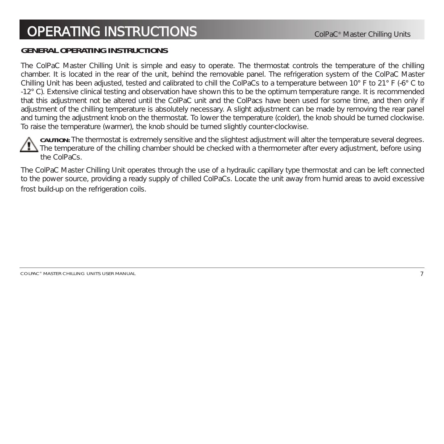#### **GENERAL OPERATING INSTRUCTIONS**

The ColPaC Master Chilling Unit is simple and easy to operate. The thermostat controls the temperature of the chilling chamber. It is located in the rear of the unit, behind the removable panel. The refrigeration system of the ColPaC Master Chilling Unit has been adjusted, tested and calibrated to chill the ColPaCs to a temperature between 10° F to 21° F (-6° C to -12° C). Extensive clinical testing and observation have shown this to be the optimum temperature range. It is recommended that this adjustment not be altered until the ColPaC unit and the ColPacs have been used for some time, and then only if adjustment of the chilling temperature is absolutely necessary. A slight adjustment can be made by removing the rear panel and turning the adjustment knob on the thermostat. To lower the temperature (colder), the knob should be turned clockwise. To raise the temperature (warmer), the knob should be turned slightly counter-clockwise.

**CAUTION:** The thermostat is extremely sensitive and the slightest adjustment will alter the temperature several degrees. The temperature of the chilling chamber should be checked with a thermometer after every adjustment, before using the ColPaCs.

The ColPaC Master Chilling Unit operates through the use of a hydraulic capillary type thermostat and can be left connected to the power source, providing a ready supply of chilled ColPaCs. Locate the unit away from humid areas to avoid excessive frost build-up on the refrigeration coils.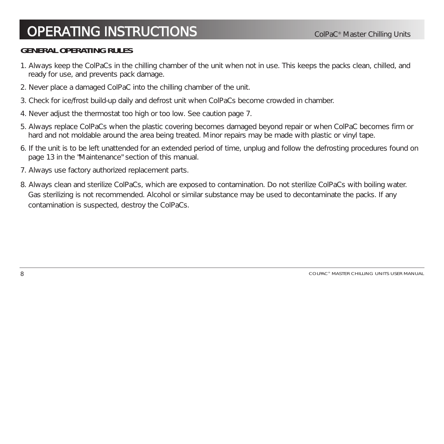#### **GENERAL OPERATING RULES**

- 1. Always keep the ColPaCs in the chilling chamber of the unit when not in use. This keeps the packs clean, chilled, and ready for use, and prevents pack damage.
- 2. Never place a damaged ColPaC into the chilling chamber of the unit.
- 3. Check for ice/frost build-up daily and defrost unit when ColPaCs become crowded in chamber.
- 4. Never adjust the thermostat too high or too low. See caution page 7.
- 5. Always replace ColPaCs when the plastic covering becomes damaged beyond repair or when ColPaC becomes firm or hard and not moldable around the area being treated. Minor repairs may be made with plastic or vinyl tape.
- 6. If the unit is to be left unattended for an extended period of time, unplug and follow the defrosting procedures found on page 13 in the "Maintenance" section of this manual.
- 7. Always use factory authorized replacement parts.
- 8. Always clean and sterilize ColPaCs, which are exposed to contamination. Do not sterilize ColPaCs with boiling water. Gas sterilizing is not recommended. Alcohol or similar substance may be used to decontaminate the packs. If any contamination is suspected, destroy the ColPaCs.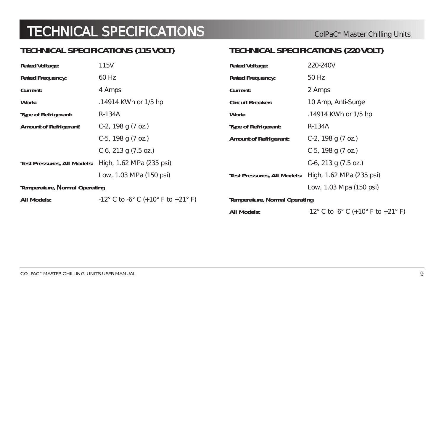#### **TECHNICAL SPECIFICATIONS (115 VOLT)**

#### **TECHNICAL SPECIFICATIONS (220 VOLT)**

| Rated Voltage:                | 115V                                                 | <b>Rated Voltage:</b>                | 220-240V                                             |
|-------------------------------|------------------------------------------------------|--------------------------------------|------------------------------------------------------|
| Rated Frequency:              | 60 Hz                                                | <b>Rated Frequency:</b>              | 50 Hz                                                |
| <b>Current:</b>               | 4 Amps                                               | Current:                             | 2 Amps                                               |
| Work:                         | .14914 KWh or 1/5 hp                                 | <b>Circuit Breaker:</b>              | 10 Amp, Anti-Surge                                   |
| Type of Refrigerant:          | R-134A                                               | Work:                                | .14914 KWh or 1/5 hp                                 |
| <b>Amount of Refrigerant:</b> | C-2, 198 g $(7 \text{ oz.})$                         | Type of Refrigerant:                 | R-134A                                               |
|                               | C-5, 198 g (7 oz.)                                   | <b>Amount of Refrigerant:</b>        | C-2, 198 g (7 oz.)                                   |
|                               | $C-6$ , 213 g (7.5 oz.)                              |                                      | C-5, 198 g (7 oz.)                                   |
|                               | Test Pressures, All Models: High, 1.62 MPa (235 psi) |                                      | C-6, 213 g $(7.5 oz.)$                               |
|                               | Low, 1.03 MPa (150 psi)                              |                                      | Test Pressures, All Models: High, 1.62 MPa (235 psi) |
| Temperature, Normal Operating |                                                      |                                      | Low, 1.03 Mpa (150 psi)                              |
| All Models:                   | $-12^{\circ}$ C to $-6^{\circ}$ C (+10° F to +21° F) | <b>Temperature, Normal Operating</b> |                                                      |
|                               |                                                      | All Models:                          | $-12^{\circ}$ C to $-6^{\circ}$ C (+10° F to +21° F  |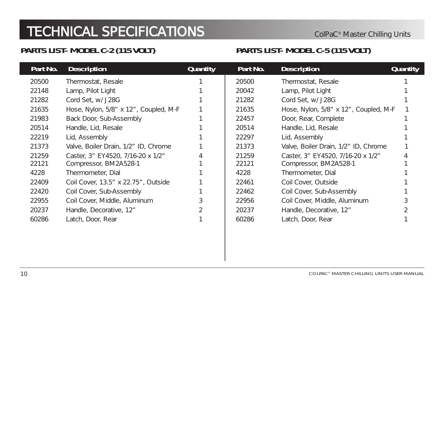#### **PARTS LIST- MODEL C-2 (115 VOLT)**

#### **PARTS LIST- MODEL C-5 (115 VOLT)**

| Part No. | <b>Description</b>                    | <b>Quantity</b> | Part No. | <b>Description</b>                    | <b>Quantity</b> |
|----------|---------------------------------------|-----------------|----------|---------------------------------------|-----------------|
| 20500    | Thermostat, Resale                    |                 | 20500    | Thermostat, Resale                    |                 |
| 22148    | Lamp, Pilot Light                     |                 | 20042    | Lamp, Pilot Light                     |                 |
| 21282    | Cord Set, w/ J28G                     |                 | 21282    | Cord Set, w/ J28G                     |                 |
| 21635    | Hose, Nylon, 5/8" x 12", Coupled, M-F |                 | 21635    | Hose, Nylon, 5/8" x 12", Coupled, M-F |                 |
| 21983    | Back Door, Sub-Assembly               |                 | 22457    | Door, Rear, Complete                  |                 |
| 20514    | Handle, Lid, Resale                   |                 | 20514    | Handle, Lid, Resale                   |                 |
| 22219    | Lid, Assembly                         |                 | 22297    | Lid, Assembly                         |                 |
| 21373    | Valve, Boiler Drain, 1/2" ID, Chrome  |                 | 21373    | Valve, Boiler Drain, 1/2" ID, Chrome  |                 |
| 21259    | Caster, 3" EY4520, 7/16-20 x 1/2"     |                 | 21259    | Caster, 3" EY4520, 7/16-20 x 1/2"     |                 |
| 22121    | Compressor, BM2A528-1                 |                 | 22121    | Compressor, BM2A528-1                 |                 |
| 4228     | Thermometer, Dial                     |                 | 4228     | Thermometer, Dial                     |                 |
| 22409    | Coil Cover, 13.5" x 22.75", Outside   |                 | 22461    | Coil Cover, Outside                   |                 |
| 22420    | Coil Cover, Sub-Assembly              |                 | 22462    | Coil Cover, Sub-Assembly              |                 |
| 22955    | Coil Cover, Middle, Aluminum          |                 | 22956    | Coil Cover, Middle, Aluminum          |                 |
| 20237    | Handle, Decorative, 12"               |                 | 20237    | Handle, Decorative, 12"               |                 |
| 60286    | Latch, Door, Rear                     |                 | 60286    | Latch, Door, Rear                     |                 |
|          |                                       |                 |          |                                       |                 |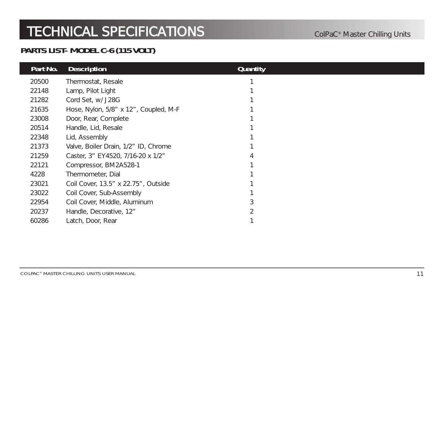#### **PARTS LIST- MODEL C-6 (115 VOLT)**

| Part No. | <b>Description</b>                    | <b>Quantity</b> |  |
|----------|---------------------------------------|-----------------|--|
| 20500    | Thermostat, Resale                    |                 |  |
| 22148    | Lamp, Pilot Light                     |                 |  |
| 21282    | Cord Set, w/ J28G                     |                 |  |
| 21635    | Hose, Nylon, 5/8" x 12", Coupled, M-F |                 |  |
| 23008    | Door, Rear, Complete                  |                 |  |
| 20514    | Handle, Lid, Resale                   |                 |  |
| 22348    | Lid, Assembly                         |                 |  |
| 21373    | Valve, Boiler Drain, 1/2" ID, Chrome  |                 |  |
| 21259    | Caster, 3" EY4520, 7/16-20 x 1/2"     | 4               |  |
| 22121    | Compressor, BM2A528-1                 |                 |  |
| 4228     | Thermometer, Dial                     |                 |  |
| 23021    | Coil Cover, 13.5" x 22.75", Outside   |                 |  |
| 23022    | Coil Cover, Sub-Assembly              |                 |  |
| 22954    | Coil Cover, Middle, Aluminum          |                 |  |
| 20237    | Handle, Decorative, 12"               |                 |  |
| 60286    | Latch, Door, Rear                     |                 |  |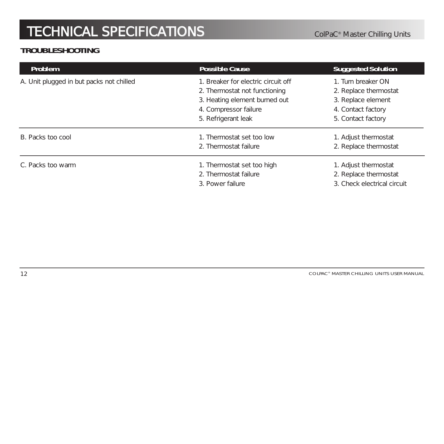#### **TROUBLESHOOTING**

| Problem                                  | <b>Possible Cause</b>                                                         | <b>Suggested Solution</b>                                                    |
|------------------------------------------|-------------------------------------------------------------------------------|------------------------------------------------------------------------------|
| A. Unit plugged in but packs not chilled | 1. Breaker for electric circuit off<br>2. Thermostat not functioning          | 1. Turn breaker ON<br>2. Replace thermostat                                  |
|                                          | 3. Heating element burned out<br>4. Compressor failure<br>5. Refrigerant leak | 3. Replace element<br>4. Contact factory<br>5. Contact factory               |
| B. Packs too cool                        | 1. Thermostat set too low<br>2. Thermostat failure                            | 1. Adjust thermostat<br>2. Replace thermostat                                |
| C. Packs too warm                        | 1. Thermostat set too high<br>2. Thermostat failure<br>3. Power failure       | 1. Adjust thermostat<br>2. Replace thermostat<br>3. Check electrical circuit |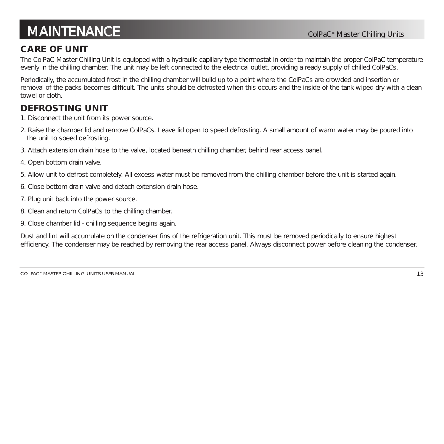### **MAINTENANCE ColpaC®** Master Chilling Units

#### **CARE OF UNIT**

The ColPaC Master Chilling Unit is equipped with a hydraulic capillary type thermostat in order to maintain the proper ColPaC temperature evenly in the chilling chamber. The unit may be left connected to the electrical outlet, providing a ready supply of chilled ColPaCs.

Periodically, the accumulated frost in the chilling chamber will build up to a point where the ColPaCs are crowded and insertion or removal of the packs becomes difficult. The units should be defrosted when this occurs and the inside of the tank wiped dry with a clean towel or cloth.

#### **DEFROSTING UNIT**

- 1. Disconnect the unit from its power source.
- 2. Raise the chamber lid and remove ColPaCs. Leave lid open to speed defrosting. A small amount of warm water may be poured into the unit to speed defrosting.
- 3. Attach extension drain hose to the valve, located beneath chilling chamber, behind rear access panel.
- 4. Open bottom drain valve.
- 5. Allow unit to defrost completely. All excess water must be removed from the chilling chamber before the unit is started again.
- 6. Close bottom drain valve and detach extension drain hose.
- 7. Plug unit back into the power source.
- 8. Clean and return ColPaCs to the chilling chamber.
- 9. Close chamber lid chilling sequence begins again.

Dust and lint will accumulate on the condenser fins of the refrigeration unit. This must be removed periodically to ensure highest efficiency. The condenser may be reached by removing the rear access panel. Always disconnect power before cleaning the condenser.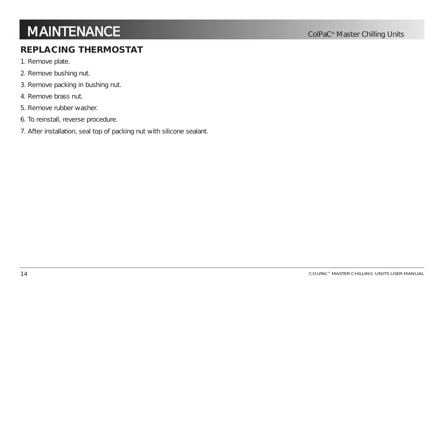### **MAINTENANCE Colpac®** Master Chilling Units

#### **REPLACING THERMOSTAT**

- 1. Remove plate.
- 2. Remove bushing nut.
- 3. Remove packing in bushing nut.
- 4. Remove brass nut.
- 5. Remove rubber washer.
- 6. To reinstall, reverse procedure.
- 7. After installation, seal top of packing nut with silicone sealant.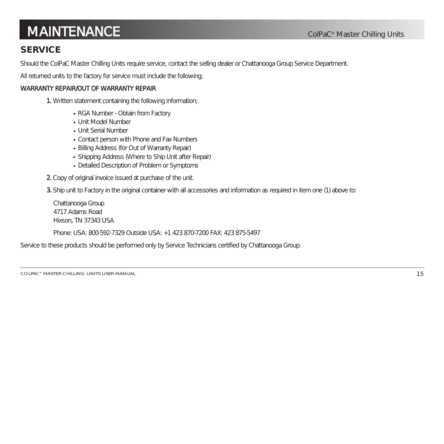### **MAINTENANCE ColpaC®** Master Chilling Units

#### **SERVICE**

Should the ColPaC Master Chilling Units require service, contact the selling dealer or Chattanooga Group Service Department.

All returned units to the factory for service must include the following;

#### WARRANTY REPAIR/OUT OF WARRANTY REPAIR

1. Written statement containing the following information;

- RGA Number Obtain from Factory
- Unit Model Number
- Unit Serial Number
- Contact person with Phone and Fax Numbers
- Billing Address (for Out of Warranty Repair)
- Shipping Address (Where to Ship Unit after Repair)
- Detailed Description of Problem or Symptoms
- 2. Copy of original invoice issued at purchase of the unit.

3. Ship unit to Factory in the original container with all accessories and information as required in item one (1) above to:

```
Chattanooga Group
4717 Adams Road
Hixson, TN 37343 USA
```
Phone: USA: 800-592-7329 Outside USA: +1 423 870-7200 FAX: 423 875-5497

Service to these products should be performed only by Service Technicians certified by Chattanooga Group.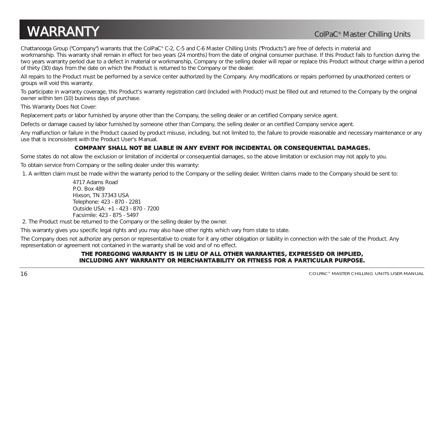### **WARRANTY ColPaC®** Master Chilling Units

Chattanooga Group ("Company") warrants that the ColPaC® C-2, C-5 and C-6 Master Chilling Units ("Products") are free of defects in material and workmanship. This warranty shall remain in effect for two years (24 months) from the date of original consumer purchase. If this Product fails to function during the two years warranty period due to a defect in material or workmanship, Company or the selling dealer will repair or replace this Product without charge within a period of thirty (30) days from the date on which the Product is returned to the Company or the dealer.

All repairs to the Product must be performed by a service center authorized by the Company. Any modifications or repairs performed by unauthorized centers or groups will void this warranty.

To participate in warranty coverage, this Product's warranty registration card (included with Product) must be filled out and returned to the Company by the original owner within ten (10) business days of purchase.

This Warranty Does Not Cover:

Replacement parts or labor furnished by anyone other than the Company, the selling dealer or an certified Company service agent.

Defects or damage caused by labor furnished by someone other than Company, the selling dealer or an certified Company service agent.

Any malfunction or failure in the Product caused by product misuse, including, but not limited to, the failure to provide reasonable and necessary maintenance or any use that is inconsistent with the Product User's Manual.

#### **COMPANY SHALL NOT BE LIABLE IN ANY EVENT FOR INCIDENTAL OR CONSEQUENTIAL DAMAGES.**

Some states do not allow the exclusion or limitation of incidental or consequential damages, so the above limitation or exclusion may not apply to you. To obtain service from Company or the selling dealer under this warranty:

1. A written claim must be made within the warranty period to the Company or the selling dealer. Written claims made to the Company should be sent to:

4717 Adams Road P.O. Box 489 Hixson, TN 37343 USA Telephone: 423 - 870 - 2281 Outside USA: +1 - 423 - 870 - 7200 Facsimile: 423 - 875 - 5497

2. The Product must be returned to the Company or the selling dealer by the owner.

This warranty gives you specific legal rights and you may also have other rights which vary from state to state.

The Company does not authorize any person or representative to create for it any other obligation or liability in connection with the sale of the Product. Any representation or agreement not contained in the warranty shall be void and of no effect.

#### **THE FOREGOING WARRANTY IS IN LIEU OF ALL OTHER WARRANTIES, EXPRESSED OR IMPLIED, INCLUDING ANY WARRANTY OR MERCHANTABILITY OR FITNESS FOR A PARTICULAR PURPOSE.**